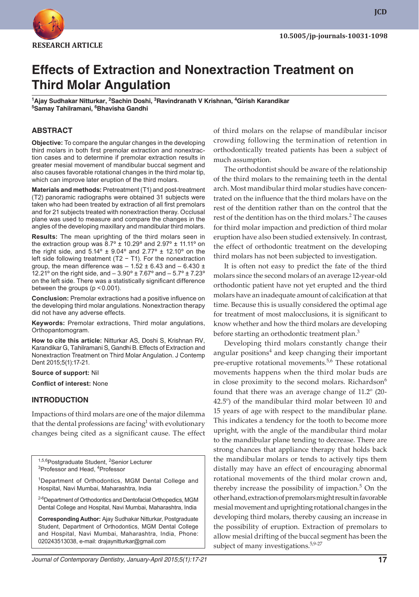

**JCD**

# **Effects of Extraction and Nonextraction Treatment on Third Molar Angulation**

<sup>1</sup>Ajay Sudhakar Nitturkar, <sup>2</sup>Sachin Doshi, <sup>3</sup>Ravindranath V Krishnan, <sup>4</sup>Girish Karandikar **5 Samay Tahilramani, 6 Bhavisha Gandhi**

#### **ABSTRACT**

**Objective:** To compare the angular changes in the developing third molars in both first premolar extraction and nonextraction cases and to determine if premolar extraction results in greater mesial movement of mandibular buccal segment and also causes favorable rotational changes in the third molar tip, which can improve later eruption of the third molars.

**Materials and methods:** Pretreatment (T1) and post-treatment (T2) panoramic radiographs were obtained 31 subjects were taken who had been treated by extraction of all first premolars and for 21 subjects treated with nonextraction theray. Occlusal plane was used to measure and compare the changes in the angles of the developing maxillary and mandibular third molars.

**Results:** The mean uprighting of the third molars seen in the extraction group was  $8.7^\circ \pm 10.29^\circ$  and  $2.97^\circ \pm 11.11^\circ$  on the right side, and  $5.14^{\circ} \pm 9.04^{\circ}$  and  $2.77^{\circ} \pm 12.10^{\circ}$  on the left side following treatment (T2 − T1). For the nonextraction group, the mean difference was  $-1.52 \pm 6.43$  and  $-6.430 \pm 1.52$ 12.21º on the right side, and – 3.90º ± 7.67º and – 5.7º ± 7.23º on the left side. There was a statistically significant difference between the groups ( $p < 0.001$ ).

**Conclusion:** Premolar extractions had a positive influence on the developing third molar angulations. Nonextraction therapy did not have any adverse effects.

**Keywords:** Premolar extractions, Third molar angulations, Orthopantomogram.

**How to cite this article:** Nitturkar AS, Doshi S, Krishnan RV, Karandikar G, Tahilramani S, Gandhi B. Effects of Extraction and Nonextraction Treatment on Third Molar Angulation. J Contemp Dent 2015;5(1):17-21.

**Source of support:** Nil

**Conflict of interest:** None

#### **INTRODUCTION**

Impactions of third molars are one of the major dilemma that the dental professions are facing<sup>1</sup> with evolutionary changes being cited as a significant cause. The effect

<sup>1,5,6</sup>Postgraduate Student, <sup>2</sup>Senior Lecturer<br><sup>3</sup>Professor and Head, <sup>4</sup>Professor Professor and Head, <sup>4</sup>Professor

<sup>1</sup>Department of Orthodontics, MGM Dental College and Hospital, Navi Mumbai, Maharashtra, India

<sup>2-6</sup>Department of Orthodontics and Dentofacial Orthopedics, MGM Dental College and Hospital, Navi Mumbai, Maharashtra, India

**Corresponding Author:** Ajay Sudhakar Nitturkar, Postgraduate Student, Department of Orthodontics, MGM Dental College and Hospital, Navi Mumbai, Maharashtra, India, Phone: 020243513038, e-mail: drajaynitturkar@gmail.com

of third molars on the relapse of mandibular incisor crowding following the termination of retention in orthodontically treated patients has been a subject of much assumption.

The orthodontist should be aware of the relationship of the third molars to the remaining teeth in the dental arch. Most mandibular third molar studies have concentrated on the influence that the third molars have on the rest of the dentition rather than on the control that the rest of the dentition has on the third molars.<sup>2</sup> The causes for third molar impaction and prediction of third molar eruption have also been studied extensively. In contrast, the effect of orthodontic treatment on the developing third molars has not been subjected to investigation.

It is often not easy to predict the fate of the third molars since the second molars of an average 12-year-old orthodontic patient have not yet erupted and the third molars have an inadequate amount of calcification at that time. Because this is usually considered the optimal age for treatment of most malocclusions, it is significant to know whether and how the third molars are developing before starting an orthodontic treatment plan.<sup>3</sup>

Developing third molars constantly change their angular positions<sup>4</sup> and keep changing their important pre-eruptive rotational movements.<sup>5,6</sup> These rotational movements happens when the third molar buds are in close proximity to the second molars. Richardson $6$ found that there was an average change of 11.2º (20- 42.5º) of the mandibular third molar between 10 and 15 years of age with respect to the mandibular plane. This indicates a tendency for the tooth to become more upright, with the angle of the mandibular third molar to the mandibular plane tending to decrease. There are strong chances that appliance therapy that holds back the mandibular molars or tends to actively tips them distally may have an effect of encouraging abnormal rotational movements of the third molar crown and, thereby increase the possibility of impaction.<sup>5</sup> On the other hand, extraction of premolars might result in favorable mesial movement and uprighting rotational changes in the developing third molars, thereby causing an increase in the possibility of eruption. Extraction of premolars to allow mesial drifting of the buccal segment has been the subject of many investigations.<sup>5,9-27</sup>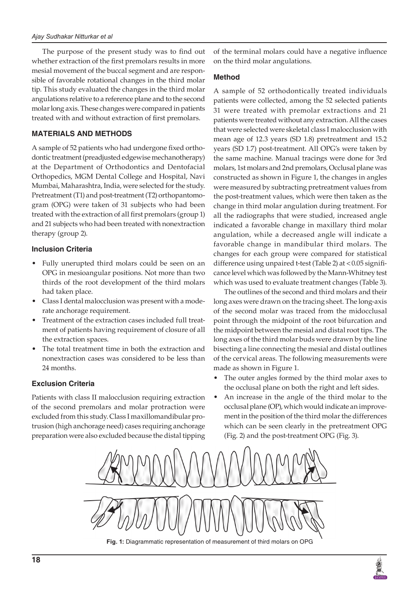The purpose of the present study was to find out whether extraction of the first premolars results in more mesial movement of the buccal segment and are responsible of favorable rotational changes in the third molar tip. This study evaluated the changes in the third molar angulations relative to a reference plane and to the second molar long axis. These changes were compared in patients treated with and without extraction of first premolars.

## **MATERIALS AND METHODS**

A sample of 52 patients who had undergone fixed orthodontic treatment (preadjusted edgewise mechanotherapy) at the Department of Orthodontics and Dentofacial Orthopedics, MGM Dental College and Hospital, Navi Mumbai, Maharashtra, India, were selected for the study. Pretreatment (T1) and post-treatment (T2) orthopantomogram (OPG) were taken of 31 subjects who had been treated with the extraction of all first premolars (group 1) and 21 subjects who had been treated with nonextraction therapy (group 2).

### **Inclusion Criteria**

- Fully unerupted third molars could be seen on an OPG in mesioangular positions. Not more than two thirds of the root development of the third molars had taken place.
- Class I dental malocclusion was present with a moderate anchorage requirement.
- Treatment of the extraction cases included full treatment of patients having requirement of closure of all the extraction spaces.
- The total treatment time in both the extraction and nonextraction cases was considered to be less than 24 months.

### **Exclusion Criteria**

Patients with class II malocclusion requiring extraction of the second premolars and molar protraction were excluded from this study. Class I maxillomandibular protrusion (high anchorage need) cases requiring anchorage preparation were also excluded because the distal tipping

of the terminal molars could have a negative influence on the third molar angulations.

#### **Method**

A sample of 52 orthodontically treated individuals patients were collected, among the 52 selected patients 31 were treated with premolar extractions and 21 patients were treated without any extraction. All the cases that were selected were skeletal class I malocclusion with mean age of 12.3 years (SD 1.8) pretreatment and 15.2 years (SD 1.7) post-treatment. All OPG's were taken by the same machine. Manual tracings were done for 3rd molars, 1st molars and 2nd premolars, Occlusal plane was constructed as shown in Figure 1, the changes in angles were measured by subtracting pretreatment values from the post-treatment values, which were then taken as the change in third molar angulation during treatment. For all the radiographs that were studied, increased angle indicated a favorable change in maxillary third molar angulation, while a decreased angle will indicate a favorable change in mandibular third molars. The changes for each group were compared for statistical difference using unpaired t-test (Table 2) at <0.05 significance level which was followed by the Mann-Whitney test which was used to evaluate treatment changes (Table 3).

The outlines of the second and third molars and their long axes were drawn on the tracing sheet. The long-axis of the second molar was traced from the midocclusal point through the midpoint of the root bifurcation and the midpoint between the mesial and distal root tips. The long axes of the third molar buds were drawn by the line bisecting a line connecting the mesial and distal outlines of the cervical areas. The following measurements were made as shown in Figure 1.

- The outer angles formed by the third molar axes to the occlusal plane on both the right and left sides.
- An increase in the angle of the third molar to the occlusal plane (OP), which would indicate an improvement in the position of the third molar the differences which can be seen clearly in the pretreatment OPG (Fig. 2) and the post-treatment OPG (Fig. 3).



**Fig. 1:** Diagrammatic representation of measurement of third molars on OPG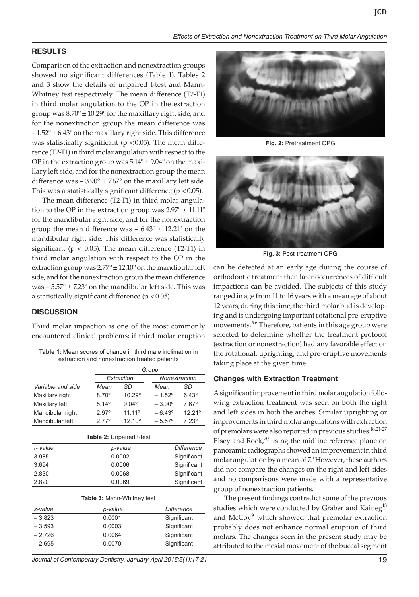### **RESULTS**

Comparison of the extraction and nonextraction groups showed no significant differences (Table 1). Tables 2 and 3 show the details of unpaired t-test and Mann-Whitney test respectively. The mean difference (T2-T1) in third molar angulation to the OP in the extraction group was  $8.70^{\circ} \pm 10.29^{\circ}$  for the maxillary right side, and for the nonextraction group the mean difference was  $-1.52^{\circ}$  ± 6.43 $^{\circ}$  on the maxillary right side. This difference was statistically significant ( $p < 0.05$ ). The mean difference (T2-T1) in third molar angulation with respect to the OP in the extraction group was  $5.14^{\circ} \pm 9.04^{\circ}$  on the maxillary left side, and for the nonextraction group the mean difference was  $-3.90^{\circ} \pm 7.67^{\circ}$  on the maxillary left side. This was a statistically significant difference ( $p < 0.05$ ).

The mean difference (T2-T1) in third molar angulation to the OP in the extraction group was  $2.97^{\circ} \pm 11.11^{\circ}$ for the mandibular right side, and for the nonextraction group the mean difference was  $-6.43^{\circ} \pm 12.21^{\circ}$  on the mandibular right side. This difference was statistically significant ( $p < 0.05$ ). The mean difference (T2-T1) in third molar angulation with respect to the OP in the extraction group was  $2.77^{\circ} \pm 12.10^{\circ}$  on the mandibular left side, and for the nonextraction group the mean difference was  $-5.57^{\circ} \pm 7.23^{\circ}$  on the mandibular left side. This was a statistically significant difference ( $p < 0.05$ ).

#### **DISCUSSION**

Third molar impaction is one of the most commonly encountered clinical problems; if third molar eruption

| <b>Table 1:</b> Mean scores of change in third male inclimation in |
|--------------------------------------------------------------------|
| extraction and nonextraction treated patients                      |

|                                   | Group          |                 |                 |                    |  |
|-----------------------------------|----------------|-----------------|-----------------|--------------------|--|
|                                   | Extraction     |                 |                 | Nonextraction      |  |
| Variable and side                 | Mean           | SD              | Mean            | SD                 |  |
| Maxillary right                   | $8.70^\circ$   | $10.29^{\circ}$ | $-1.52^{\circ}$ | $6.43^{\circ}$     |  |
| Maxillary left                    | $5.14^{\circ}$ | $9.04^{\circ}$  | $-3.90^{\circ}$ | $7.67^{\circ}$     |  |
| Mandibular right                  | $2.97^{\circ}$ | $11.11^{\circ}$ | $-6.43^{\circ}$ | 12.21 <sup>°</sup> |  |
| Mandibular left                   | $2.77^{\circ}$ | $12.10^{\circ}$ | $-5.57^{\circ}$ | $7.23^{\circ}$     |  |
|                                   |                |                 |                 |                    |  |
| Table 2: Unpaired t-test          |                |                 |                 |                    |  |
| t-value                           | p-value        |                 |                 | Difference         |  |
| 3.985                             | 0.0002         |                 |                 | Significant        |  |
| 3.694                             | 0.0006         |                 |                 | Significant        |  |
| 2.830                             | 0.0068         |                 |                 | Significant        |  |
| 2.820                             | 0.0069         |                 | Significant     |                    |  |
|                                   |                |                 |                 |                    |  |
| <b>Table 3: Mann-Whitney test</b> |                |                 |                 |                    |  |
| z-value                           | p-value        |                 |                 | <b>Difference</b>  |  |
| $-3.823$                          | 0.0001         |                 |                 | Significant        |  |
| $-3.593$                          | 0.0003         |                 |                 | Significant        |  |
| $-2.726$                          | 0.0064         |                 |                 | Significant        |  |
| – 2.695                           | 0.0070         |                 |                 | Significant        |  |
|                                   |                |                 |                 |                    |  |

*Journal of Contemporary Dentistry, January-April 2015;5(1):17-21* **19**



**Fig. 2:** Pretreatment OPG



**Fig. 3:** Post-treatment OPG

can be detected at an early age during the course of orthodontic treatment then later occurrences of difficult impactions can be avoided. The subjects of this study ranged in age from 11 to 16 years with a mean age of about 12 years; during this time, the third molar bud is developing and is undergoing important rotational pre-eruptive movements.<sup>5,6</sup> Therefore, patients in this age group were selected to determine whether the treatment protocol (extraction or nonextraction) had any favorable effect on the rotational, uprighting, and pre-eruptive movements taking place at the given time.

#### **Changes with Extraction Treatment**

A significant improvement in third molar angulation following extraction treatment was seen on both the right and left sides in both the arches. Similar uprighting or improvements in third molar angulations with extraction of premolars were also reported in previous studies.<sup>18,21-27</sup> Elsey and  $Rock<sup>20</sup>$  using the midline reference plane on panoramic radiographs showed an improvement in third molar angulation by a mean of 7.º However, these authors did not compare the changes on the right and left sides and no comparisons were made with a representative group of nonextraction patients.

The present findings contradict some of the previous studies which were conducted by Graber and Kaineg<sup>13</sup> and  $\text{McCoy}^9$  which showed that premolar extraction probably does not enhance normal eruption of third molars. The changes seen in the present study may be attributed to the mesial movement of the buccal segment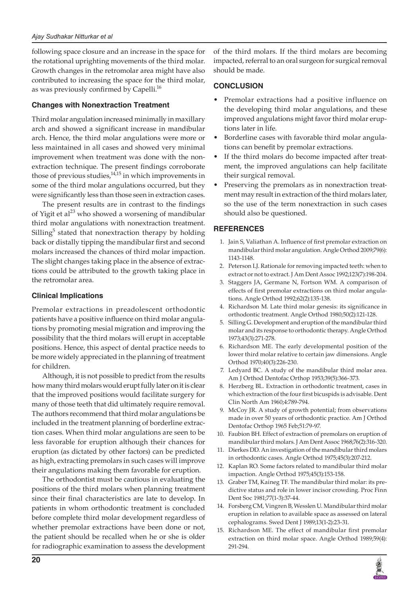following space closure and an increase in the space for the rotational uprighting movements of the third molar. Growth changes in the retromolar area might have also contributed to increasing the space for the third molar, as was previously confirmed by Capelli.<sup>16</sup>

## **Changes with Nonextraction Treatment**

Third molar angulation increased minimally in maxillary arch and showed a significant increase in mandibular arch. Hence, the third molar angulations were more or less maintained in all cases and showed very minimal improvement when treatment was done with the nonextraction technique. The present findings corroborate those of previous studies, $14,15$  in which improvements in some of the third molar angulations occurred, but they were significantly less than those seen in extraction cases.

The present results are in contrast to the findings of Yigit et al<sup>23</sup> who showed a worsening of mandibular third molar angulations with nonextraction treatment. Silling<sup>5</sup> stated that nonextraction therapy by holding back or distally tipping the mandibular first and second molars increased the chances of third molar impaction. The slight changes taking place in the absence of extractions could be attributed to the growth taking place in the retromolar area.

### **Clinical Implications**

Premolar extractions in preadolescent orthodontic patients have a positive influence on third molar angulations by promoting mesial migration and improving the possibility that the third molars will erupt in acceptable positions. Hence, this aspect of dental practice needs to be more widely appreciated in the planning of treatment for children.

Although, it is not possible to predict from the results how many third molars would erupt fully later on it is clear that the improved positions would facilitate surgery for many of those teeth that did ultimately require removal. The authors recommend that third molar angulations be included in the treatment planning of borderline extraction cases. When third molar angulations are seen to be less favorable for eruption although their chances for eruption (as dictated by other factors) can be predicted as high, extracting premolars in such cases will improve their angulations making them favorable for eruption.

The orthodontist must be cautious in evaluating the positions of the third molars when planning treatment since their final characteristics are late to develop. In patients in whom orthodontic treatment is concluded before complete third molar development regardless of whether premolar extractions have been done or not, the patient should be recalled when he or she is older for radiographic examination to assess the development

of the third molars. If the third molars are becoming impacted, referral to an oral surgeon for surgical removal should be made.

## **CONCLUSION**

- Premolar extractions had a positive influence on the developing third molar angulations, and these improved angulations might favor third molar eruptions later in life.
- Borderline cases with favorable third molar angulations can benefit by premolar extractions.
- If the third molars do become impacted after treatment, the improved angulations can help facilitate their surgical removal.
- Preserving the premolars as in nonextraction treatment may result in extraction of the third molars later, so the use of the term nonextraction in such cases should also be questioned.

## **REFERENCES**

- 1. Jain S, Valiathan A. Influence of first premolar extraction on mandibular third molar angulation. Angle Orthod 2009;79(6): 1143-1148.
- 2. Peterson LJ. Rationale for removing impacted teeth: when to extract or not to extract. J Am Dent Assoc 1992;123(7):198-204.
- Staggers JA, Germane N, Fortson WM. A comparison of effects of first premolar extractions on third molar angulations. Angle Orthod 1992;62(2):135-138.
- 4. Richardson M. Late third molar genesis: its significance in orthodontic treatment. Angle Orthod 1980;50(2):121-128.
- 5. Silling G. Development and eruption of the mandibular third molar and its response to orthodontic therapy. Angle Orthod 1973;43(3):271-278.
- 6. Richardson ME. The early developmental position of the lower third molar relative to certain jaw dimensions. Angle Orthod 1970;40(3):226-230.
- 7. Ledyard BC. A study of the mandibular third molar area. Am J Orthod Dentofac Orthop 1953;39(5):366-373.
- 8. Herzberg BL. Extraction in orthodontic treatment, cases in which extraction of the four first bicuspids is advisable. Dent Clin North Am 1960;4:789-794.
- 9. McCoy JR. A study of growth potential; from observations made in over 50 years of orthodontic practice. Am J Orthod Dentofac Orthop 1965 Feb;51:79-97.
- 10. Faubion BH. Effect of extraction of premolars on eruption of mandibular third molars. J Am Dent Assoc 1968;76(2):316-320.
- 11. Dierkes DD. An investigation of the mandibular third molars in orthodontic cases. Angle Orthod 1975;45(3):207-212.
- 12. Kaplan RO. Some factors related to mandibular third molar impaction. Angle Orthod 1975;45(3):153-158.
- 13. Graber TM, Kaineg TF. The mandibular third molar: its predictive status and role in lower incisor crowding. Proc Finn Dent Soc 1981;77(1-3):37-44.
- 14. Forsberg CM, Vingren B, Wesslen U. Mandibular third molar eruption in relation to available space as assessed on lateral cephalograms. Swed Dent J 1989;13(1-2):23-31.
- 15. Richardson ME. The effect of mandibular first premolar extraction on third molar space. Angle Orthod 1989;59(4): 291-294.